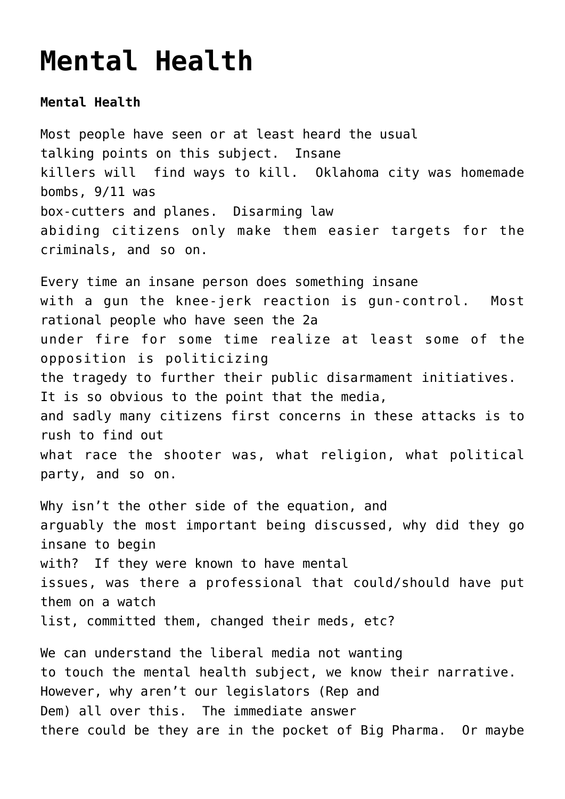## **[Mental Health](https://columbuscountyconservative.com/index.php/mental-health/)**

**Mental Health**

Most people have seen or at least heard the usual talking points on this subject. Insane killers will find ways to kill. Oklahoma city was homemade bombs, 9/11 was box-cutters and planes. Disarming law abiding citizens only make them easier targets for the criminals, and so on.

Every time an insane person does something insane with a gun the knee-jerk reaction is gun-control. Most rational people who have seen the 2a under fire for some time realize at least some of the opposition is politicizing the tragedy to further their public disarmament initiatives. It is so obvious to the point that the media, and sadly many citizens first concerns in these attacks is to rush to find out what race the shooter was, what religion, what political party, and so on.

Why isn't the other side of the equation, and arguably the most important being discussed, why did they go insane to begin with? If they were known to have mental issues, was there a professional that could/should have put them on a watch list, committed them, changed their meds, etc?

We can understand the liberal media not wanting to touch the mental health subject, we know their narrative. However, why aren't our legislators (Rep and Dem) all over this. The immediate answer there could be they are in the pocket of Big Pharma. Or maybe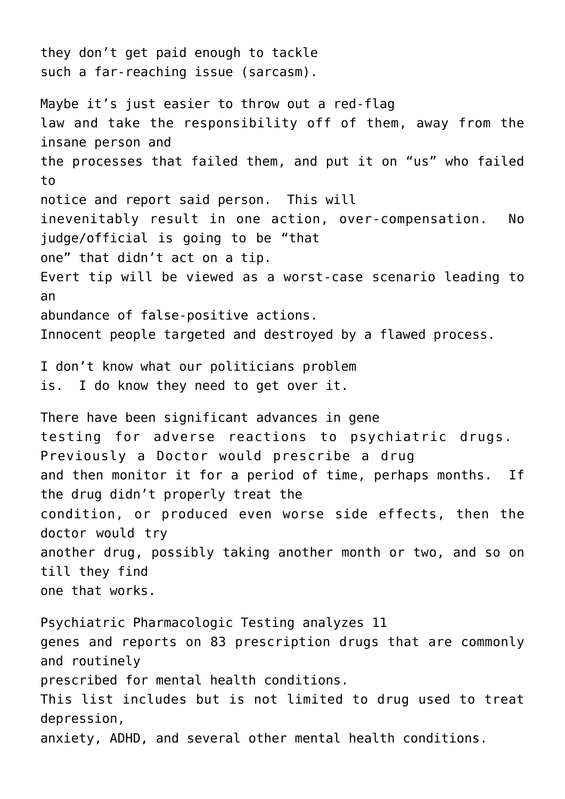they don't get paid enough to tackle such a far-reaching issue (sarcasm). Maybe it's just easier to throw out a red-flag law and take the responsibility off of them, away from the insane person and the processes that failed them, and put it on "us" who failed to notice and report said person. This will inevenitably result in one action, over-compensation. No judge/official is going to be "that one" that didn't act on a tip. Evert tip will be viewed as a worst-case scenario leading to an abundance of false-positive actions. Innocent people targeted and destroyed by a flawed process. I don't know what our politicians problem is. I do know they need to get over it. There have been significant advances in gene testing for adverse reactions to psychiatric drugs. Previously a Doctor would prescribe a drug and then monitor it for a period of time, perhaps months. If the drug didn't properly treat the condition, or produced even worse side effects, then the doctor would try another drug, possibly taking another month or two, and so on till they find one that works. Psychiatric Pharmacologic Testing analyzes 11 genes and reports on 83 prescription drugs that are commonly and routinely prescribed for mental health conditions. This list includes but is not limited to drug used to treat depression, anxiety, ADHD, and several other mental health conditions.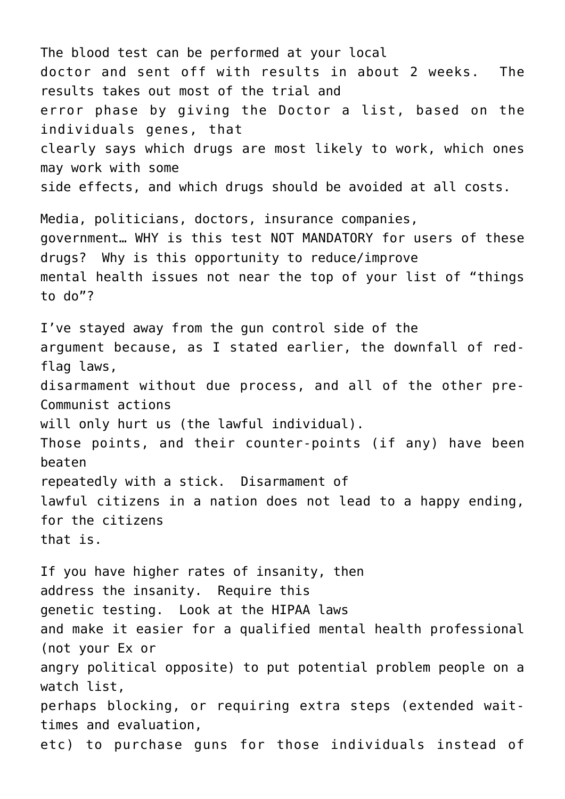The blood test can be performed at your local doctor and sent off with results in about 2 weeks. The results takes out most of the trial and error phase by giving the Doctor a list, based on the individuals genes, that clearly says which drugs are most likely to work, which ones may work with some side effects, and which drugs should be avoided at all costs. Media, politicians, doctors, insurance companies,

government… WHY is this test NOT MANDATORY for users of these drugs? Why is this opportunity to reduce/improve mental health issues not near the top of your list of "things to do"?

I've stayed away from the gun control side of the argument because, as I stated earlier, the downfall of redflag laws, disarmament without due process, and all of the other pre-Communist actions will only hurt us (the lawful individual). Those points, and their counter-points (if any) have been beaten repeatedly with a stick. Disarmament of lawful citizens in a nation does not lead to a happy ending, for the citizens that is.

If you have higher rates of insanity, then address the insanity. Require this genetic testing. Look at the HIPAA laws and make it easier for a qualified mental health professional (not your Ex or angry political opposite) to put potential problem people on a watch list, perhaps blocking, or requiring extra steps (extended waittimes and evaluation, etc) to purchase guns for those individuals instead of